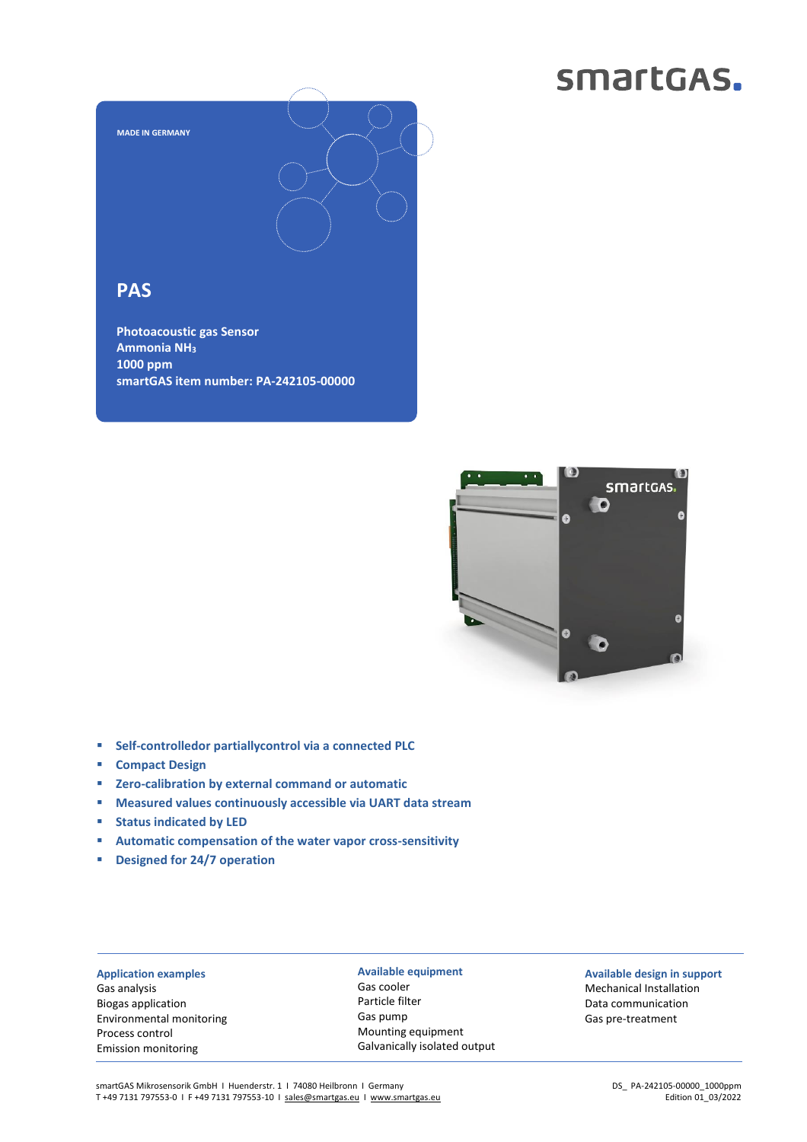## smartGAS.



## **PAS**

**Photoacoustic gas Sensor Ammonia NH<sup>3</sup> 1000 ppm smartGAS item number: PA-242105-00000**



- **Self-controlledor partiallycontrol via a connected PLC**
- **Compact Design**
- **Zero-calibration by external command or automatic**
- **Measured values continuously accessible via UART data stream**
- **Status indicated by LED**
- **Automatic compensation of the water vapor cross-sensitivity**
- **Designed for 24/7 operation**

**Application examples** Gas analysis Biogas application Environmental monitoring Process control Emission monitoring

**Available equipment** Gas cooler Particle filter Gas pump Mounting equipment Galvanically isolated output

**Available design in support** Mechanical Installation Data communication Gas pre-treatment